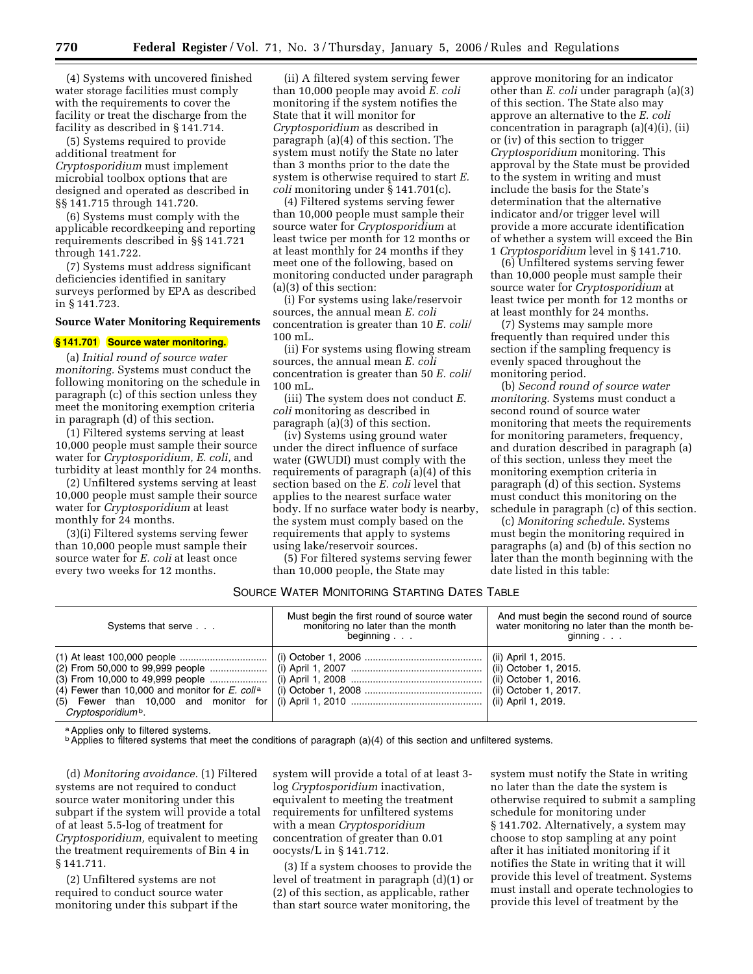(4) Systems with uncovered finished water storage facilities must comply with the requirements to cover the facility or treat the discharge from the facility as described in § 141.714.

(5) Systems required to provide additional treatment for *Cryptosporidium* must implement microbial toolbox options that are designed and operated as described in §§ 141.715 through 141.720.

(6) Systems must comply with the applicable recordkeeping and reporting requirements described in §§ 141.721 through 141.722.

(7) Systems must address significant deficiencies identified in sanitary surveys performed by EPA as described in § 141.723.

## **Source Water Monitoring Requirements**

# **§ 141.701 Source water monitoring.**

(a) *Initial round of source water monitoring.* Systems must conduct the following monitoring on the schedule in paragraph (c) of this section unless they meet the monitoring exemption criteria in paragraph (d) of this section.

(1) Filtered systems serving at least 10,000 people must sample their source water for *Cryptosporidium, E. coli,* and turbidity at least monthly for 24 months.

(2) Unfiltered systems serving at least 10,000 people must sample their source water for *Cryptosporidium* at least monthly for 24 months.

(3)(i) Filtered systems serving fewer than 10,000 people must sample their source water for *E. coli* at least once every two weeks for 12 months.

(ii) A filtered system serving fewer than 10,000 people may avoid *E. coli*  monitoring if the system notifies the State that it will monitor for *Cryptosporidium* as described in paragraph (a)(4) of this section. The system must notify the State no later than 3 months prior to the date the system is otherwise required to start *E. coli* monitoring under § 141.701(c).

(4) Filtered systems serving fewer than 10,000 people must sample their source water for *Cryptosporidium* at least twice per month for 12 months or at least monthly for 24 months if they meet one of the following, based on monitoring conducted under paragraph (a)(3) of this section:

(i) For systems using lake/reservoir sources, the annual mean *E. coli*  concentration is greater than 10 *E. coli*/ 100 mL.

(ii) For systems using flowing stream sources, the annual mean *E. coli*  concentration is greater than 50 *E. coli*/ 100 mL.

(iii) The system does not conduct *E. coli* monitoring as described in paragraph (a)(3) of this section.

(iv) Systems using ground water under the direct influence of surface water (GWUDI) must comply with the requirements of paragraph (a)(4) of this section based on the *E. coli* level that applies to the nearest surface water body. If no surface water body is nearby, the system must comply based on the requirements that apply to systems using lake/reservoir sources.

(5) For filtered systems serving fewer than 10,000 people, the State may

approve monitoring for an indicator other than *E. coli* under paragraph (a)(3) of this section. The State also may approve an alternative to the *E. coli*  concentration in paragraph (a)(4)(i), (ii) or (iv) of this section to trigger *Cryptosporidium* monitoring. This approval by the State must be provided to the system in writing and must include the basis for the State's determination that the alternative indicator and/or trigger level will provide a more accurate identification of whether a system will exceed the Bin 1 *Cryptosporidium* level in § 141.710.

(6) Unfiltered systems serving fewer than 10,000 people must sample their source water for *Cryptosporidium* at least twice per month for 12 months or at least monthly for 24 months.

(7) Systems may sample more frequently than required under this section if the sampling frequency is evenly spaced throughout the monitoring period.

(b) *Second round of source water monitoring.* Systems must conduct a second round of source water monitoring that meets the requirements for monitoring parameters, frequency, and duration described in paragraph (a) of this section, unless they meet the monitoring exemption criteria in paragraph (d) of this section. Systems must conduct this monitoring on the schedule in paragraph (c) of this section.

(c) *Monitoring schedule.* Systems must begin the monitoring required in paragraphs (a) and (b) of this section no later than the month beginning with the date listed in this table:

## SOURCE WATER MONITORING STARTING DATES TABLE

| Systems that serve             | Must begin the first round of source water<br>monitoring no later than the month<br>beginning | And must begin the second round of source<br>water monitoring no later than the month be-<br>$g$ inning $\ldots$ |
|--------------------------------|-----------------------------------------------------------------------------------------------|------------------------------------------------------------------------------------------------------------------|
| Cryptosporidium <sup>b</sup> . |                                                                                               | (ii) April 1, 2015.<br>(ii) October 1, 2015.<br>(ii) October 1, 2016.                                            |

a Applies only to filtered systems.

 $\mathbf{b}$  Applies to filtered systems that meet the conditions of paragraph (a)(4) of this section and unfiltered systems.

(d) *Monitoring avoidance.* (1) Filtered systems are not required to conduct source water monitoring under this subpart if the system will provide a total of at least 5.5-log of treatment for *Cryptosporidium,* equivalent to meeting the treatment requirements of Bin 4 in § 141.711.

(2) Unfiltered systems are not required to conduct source water monitoring under this subpart if the

system will provide a total of at least 3 log *Cryptosporidium* inactivation, equivalent to meeting the treatment requirements for unfiltered systems with a mean *Cryptosporidium*  concentration of greater than 0.01 oocysts/L in § 141.712.

(3) If a system chooses to provide the level of treatment in paragraph (d)(1) or (2) of this section, as applicable, rather than start source water monitoring, the

system must notify the State in writing no later than the date the system is otherwise required to submit a sampling schedule for monitoring under § 141.702. Alternatively, a system may choose to stop sampling at any point after it has initiated monitoring if it notifies the State in writing that it will provide this level of treatment. Systems must install and operate technologies to provide this level of treatment by the